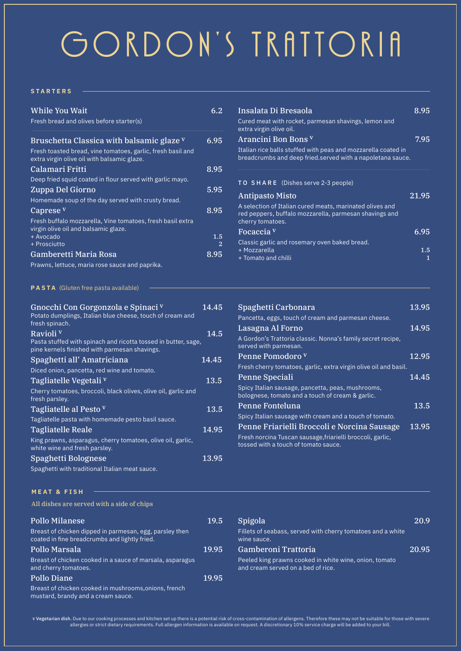# GORDON'S TRATTORIA

## **STARTERS**

| <b>While You Wait</b>                                                                                    | 6.2          |
|----------------------------------------------------------------------------------------------------------|--------------|
| Fresh bread and olives before starter(s)                                                                 |              |
| Bruschetta Classica with balsamic glaze V<br>Fresh toasted bread, vine tomatoes, garlic, fresh basil and | 6.95         |
| extra virgin olive oil with balsamic glaze.                                                              |              |
| Calamari Fritti                                                                                          | 8.95         |
| Deep fried squid coated in flour served with garlic mayo.                                                |              |
| Zuppa Del Giorno                                                                                         | 5.95         |
| Homemade soup of the day served with crusty bread.                                                       |              |
| Caprese <sup>v</sup>                                                                                     | 8.95         |
| Fresh buffalo mozzarella, Vine tomatoes, fresh basil extra<br>virgin olive oil and balsamic glaze.       |              |
| + Avocado<br>+ Prosciutto                                                                                | $1.5\,$<br>2 |
| Gamberetti Maria Rosa                                                                                    | 8.95         |

Prawns, lettuce, maria rose sauce and paprika.

**PASTA** (Gluten free pasta available)

| Gnocchi Con Gorgonzola e Spinaci v<br>Potato dumplings, Italian blue cheese, touch of cream and<br>fresh spinach.                       | 14.45 |
|-----------------------------------------------------------------------------------------------------------------------------------------|-------|
| Ravioli <sup>v</sup><br>Pasta stuffed with spinach and ricotta tossed in butter, sage,<br>pine kernels finished with parmesan shavings. | 14.5  |
| Spaghetti all' Amatriciana                                                                                                              | 14.45 |
| Diced onion, pancetta, red wine and tomato.                                                                                             |       |
| Tagliatelle Vegetali v                                                                                                                  | 13.5  |
| Cherry tomatoes, broccoli, black olives, olive oil, garlic and<br>fresh parsley.                                                        |       |
| Tagliatelle al Pesto v                                                                                                                  | 13.5  |
| Tagliatelle pasta with homemade pesto basil sauce.                                                                                      |       |
| <b>Tagliatelle Reale</b>                                                                                                                | 14.95 |
| King prawns, asparagus, cherry tomatoes, olive oil, garlic,<br>white wine and fresh parsley.                                            |       |
| Spaghetti Bolognese                                                                                                                     | 13.95 |
| Spaghetti with traditional Italian meat sauce.                                                                                          |       |

| Insalata Di Bresaola<br>Cured meat with rocket, parmesan shavings, lemon and<br>extra virgin olive oil.                                                                                                | 8 95     |
|--------------------------------------------------------------------------------------------------------------------------------------------------------------------------------------------------------|----------|
| Arancini Bon Bons V<br>Italian rice balls stuffed with peas and mozzarella coated in<br>breadcrumbs and deep fried.served with a napoletana sauce.                                                     | 7.95     |
| TO SHARE (Dishes serve 2-3 people)<br><b>Antipasto Misto</b><br>A selection of Italian cured meats, marinated olives and<br>red peppers, buffalo mozzarella, parmesan shavings and<br>cherry tomatoes. | 21.95    |
| Focaccia <sup>v</sup>                                                                                                                                                                                  | 6.95     |
| Classic garlic and rosemary oven baked bread.<br>+ Mozzarella<br>+ Tomato and chilli                                                                                                                   | 1.5<br>1 |

| Spaghetti Carbonara                                                                                   | 13.95 |
|-------------------------------------------------------------------------------------------------------|-------|
| Pancetta, eggs, touch of cream and parmesan cheese.                                                   |       |
| Lasagna Al Forno                                                                                      | 14.95 |
| A Gordon's Trattoria classic. Nonna's family secret recipe.<br>served with parmesan.                  |       |
| Penne Pomodoro v                                                                                      | 12.95 |
| Fresh cherry tomatoes, garlic, extra virgin olive oil and basil.                                      |       |
| Penne Speciali                                                                                        | 14.45 |
| Spicy Italian sausage, pancetta, peas, mushrooms,<br>bolognese, tomato and a touch of cream & garlic. |       |
| Penne Fonteluna                                                                                       | 13.5  |
| Spicy Italian sausage with cream and a touch of tomato.                                               |       |
| Penne Friarielli Broccoli e Norcina Sausage                                                           | 13.95 |
| Fresh norcina Tuscan sausage, friarielli broccoli, garlic,<br>tossed with a touch of tomato sauce.    |       |

### **MEAT & FISH**

All dishes are served with a side of chips

| <b>Pollo Milanese</b>                                                                                    | 19.5  | Spigola                       |
|----------------------------------------------------------------------------------------------------------|-------|-------------------------------|
| Breast of chicken dipped in parmesan, egg, parsley then<br>coated in fine breadcrumbs and lightly fried. |       | <b>Fillets of</b><br>wine sau |
| Pollo Marsala                                                                                            | 19.95 | Gambe                         |
| Breast of chicken cooked in a sauce of marsala, asparagus<br>and cherry tomatoes.                        |       | Peeled ki<br>and crear        |
| <b>Pollo Diane</b>                                                                                       | 19.95 |                               |
| Breast of chicken cooked in mushrooms, onions, french                                                    |       |                               |

mustard, brandy and a cream sauce.

| 19.5  | Spigola<br>Fillets of seabass, served with cherry tomatoes and a white<br>wine sauce.        | 20.9  |
|-------|----------------------------------------------------------------------------------------------|-------|
| 19.95 | Gamberoni Trattoria                                                                          | 20.95 |
|       | Peeled king prawns cooked in white wine, onion, tomato<br>and cream served on a bed of rice. |       |
|       |                                                                                              |       |

v Vegetarian dish. Due to our cooking processes and kitchen set up there is a potential risk of cross-contamination of allergens. Therefore these may not be suitable for those with severe allergies or strict dietary requirements. Full allergen information is available on request. A discretionary 10% service charge will be added to your bill.